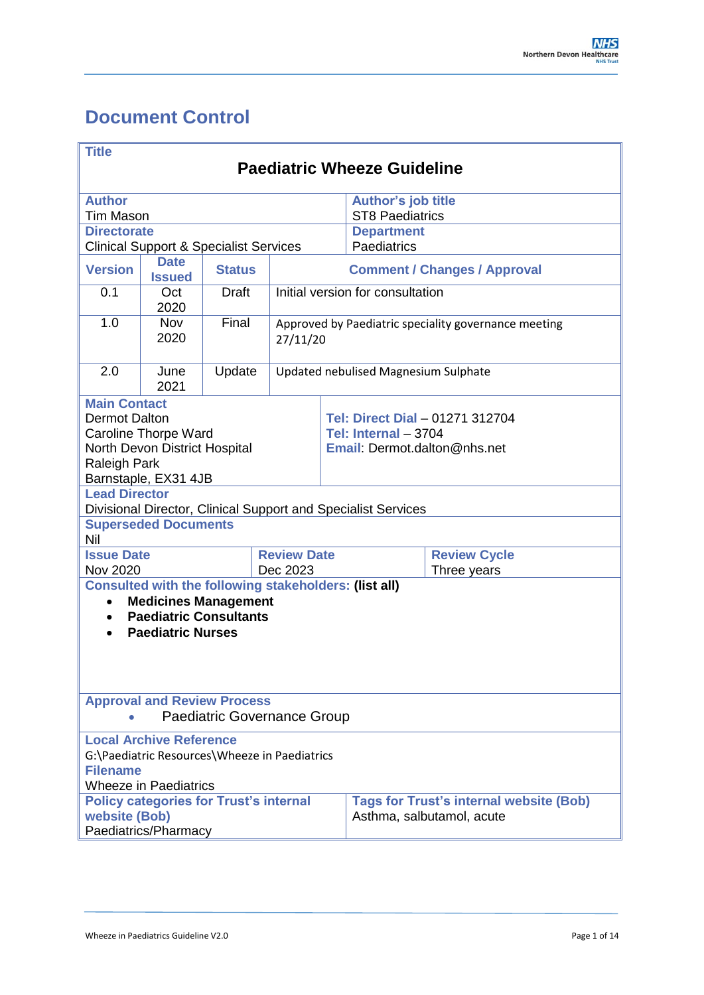# <span id="page-0-0"></span>**Document Control**

| <b>Title</b>                                                                                                                                                                       |                                                                                                                 |               |                                    |                                                                                         |                                                               |                     |
|------------------------------------------------------------------------------------------------------------------------------------------------------------------------------------|-----------------------------------------------------------------------------------------------------------------|---------------|------------------------------------|-----------------------------------------------------------------------------------------|---------------------------------------------------------------|---------------------|
| <b>Paediatric Wheeze Guideline</b>                                                                                                                                                 |                                                                                                                 |               |                                    |                                                                                         |                                                               |                     |
| <b>Author</b>                                                                                                                                                                      |                                                                                                                 |               |                                    |                                                                                         | <b>Author's job title</b>                                     |                     |
| <b>Tim Mason</b>                                                                                                                                                                   |                                                                                                                 |               |                                    |                                                                                         | <b>ST8 Paediatrics</b>                                        |                     |
| <b>Directorate</b>                                                                                                                                                                 |                                                                                                                 |               |                                    |                                                                                         | <b>Department</b>                                             |                     |
|                                                                                                                                                                                    | <b>Clinical Support &amp; Specialist Services</b>                                                               |               |                                    |                                                                                         | Paediatrics                                                   |                     |
| <b>Version</b>                                                                                                                                                                     | <b>Date</b><br><b>Issued</b>                                                                                    | <b>Status</b> |                                    |                                                                                         | <b>Comment / Changes / Approval</b>                           |                     |
| 0.1                                                                                                                                                                                | Oct<br>2020                                                                                                     | <b>Draft</b>  |                                    | Initial version for consultation                                                        |                                                               |                     |
| 1.0                                                                                                                                                                                | <b>Nov</b><br>2020                                                                                              | Final         |                                    | Approved by Paediatric speciality governance meeting<br>27/11/20                        |                                                               |                     |
| 2.0                                                                                                                                                                                | June<br>2021                                                                                                    | Update        |                                    | Updated nebulised Magnesium Sulphate                                                    |                                                               |                     |
| <b>Main Contact</b><br><b>Dermot Dalton</b><br><b>Caroline Thorpe Ward</b><br>North Devon District Hospital<br><b>Raleigh Park</b><br>Barnstaple, EX31 4JB                         |                                                                                                                 |               |                                    | Tel: Direct Dial - 01271 312704<br>Tel: Internal - 3704<br>Email: Dermot.dalton@nhs.net |                                                               |                     |
| <b>Lead Director</b>                                                                                                                                                               |                                                                                                                 |               |                                    |                                                                                         | Divisional Director, Clinical Support and Specialist Services |                     |
| Nil                                                                                                                                                                                | <b>Superseded Documents</b>                                                                                     |               |                                    |                                                                                         |                                                               |                     |
| <b>Issue Date</b>                                                                                                                                                                  |                                                                                                                 |               | <b>Review Date</b>                 |                                                                                         |                                                               | <b>Review Cycle</b> |
| <b>Nov 2020</b>                                                                                                                                                                    |                                                                                                                 |               | Dec 2023                           |                                                                                         |                                                               | Three years         |
| <b>Consulted with the following stakeholders: (list all)</b><br><b>Medicines Management</b><br>$\bullet$<br><b>Paediatric Consultants</b><br>$\bullet$<br><b>Paediatric Nurses</b> |                                                                                                                 |               |                                    |                                                                                         |                                                               |                     |
|                                                                                                                                                                                    | <b>Approval and Review Process</b>                                                                              |               | <b>Paediatric Governance Group</b> |                                                                                         |                                                               |                     |
| <b>Filename</b>                                                                                                                                                                    | <b>Local Archive Reference</b><br>G:\Paediatric Resources\Wheeze in Paediatrics<br><b>Wheeze in Paediatrics</b> |               |                                    |                                                                                         |                                                               |                     |
| <b>Policy categories for Trust's internal</b><br>website (Bob)<br>Paediatrics/Pharmacy                                                                                             |                                                                                                                 |               |                                    | <b>Tags for Trust's internal website (Bob)</b><br>Asthma, salbutamol, acute             |                                                               |                     |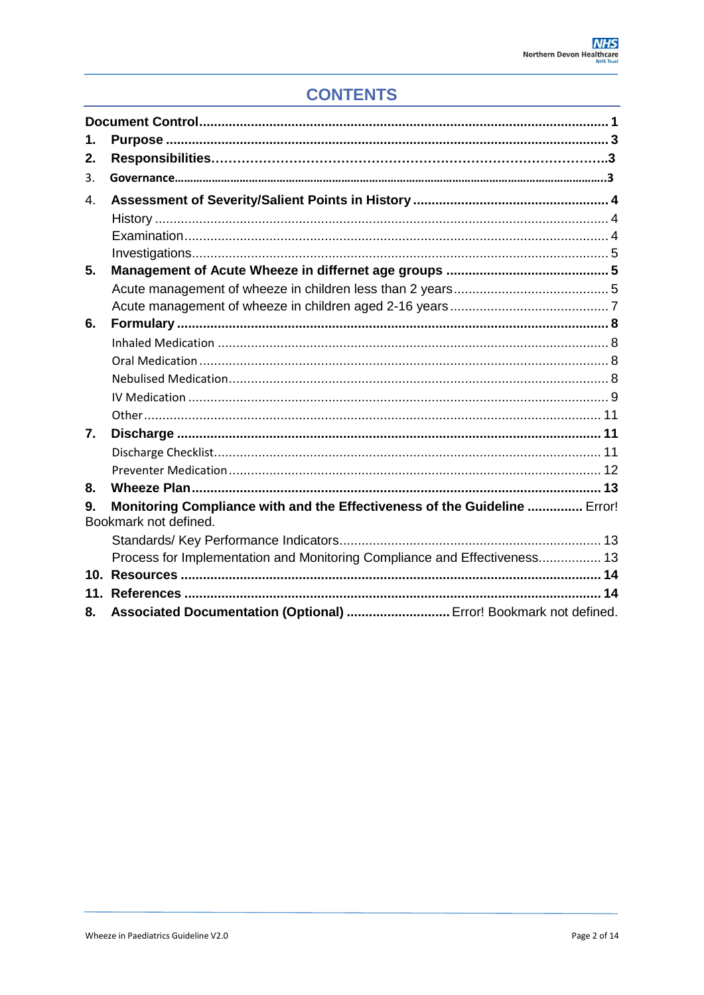## **CONTENTS**

<span id="page-1-0"></span>

| 1. |                                                                                                    |
|----|----------------------------------------------------------------------------------------------------|
| 2. |                                                                                                    |
| 3. |                                                                                                    |
| 4. |                                                                                                    |
|    |                                                                                                    |
|    |                                                                                                    |
|    |                                                                                                    |
| 5. |                                                                                                    |
|    |                                                                                                    |
|    |                                                                                                    |
| 6. |                                                                                                    |
|    |                                                                                                    |
|    |                                                                                                    |
|    |                                                                                                    |
|    |                                                                                                    |
|    |                                                                                                    |
| 7. |                                                                                                    |
|    |                                                                                                    |
|    |                                                                                                    |
| 8. |                                                                                                    |
| 9. | Monitoring Compliance with and the Effectiveness of the Guideline  Error!<br>Bookmark not defined. |
|    |                                                                                                    |
|    | Process for Implementation and Monitoring Compliance and Effectiveness 13                          |
|    |                                                                                                    |
|    |                                                                                                    |
| 8. | Associated Documentation (Optional)  Error! Bookmark not defined.                                  |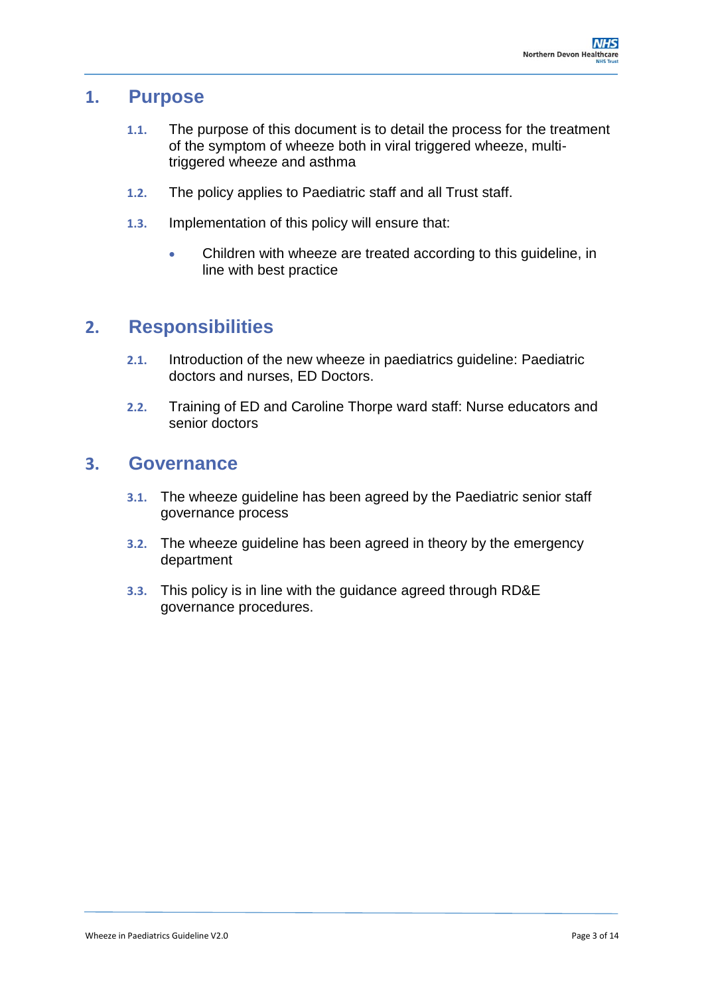### **1. Purpose**

- **1.1.** The purpose of this document is to detail the process for the treatment of the symptom of wheeze both in viral triggered wheeze, multitriggered wheeze and asthma
- **1.2.** The policy applies to Paediatric staff and all Trust staff.
- **1.3.** Implementation of this policy will ensure that:
	- Children with wheeze are treated according to this guideline, in line with best practice

## **2. Responsibilities**

- **2.1.** Introduction of the new wheeze in paediatrics guideline: Paediatric doctors and nurses, ED Doctors.
- **2.2.** Training of ED and Caroline Thorpe ward staff: Nurse educators and senior doctors

### **3. Governance**

- **3.1.** The wheeze guideline has been agreed by the Paediatric senior staff governance process
- **3.2.** The wheeze guideline has been agreed in theory by the emergency department
- **3.3.** This policy is in line with the guidance agreed through RD&E governance procedures.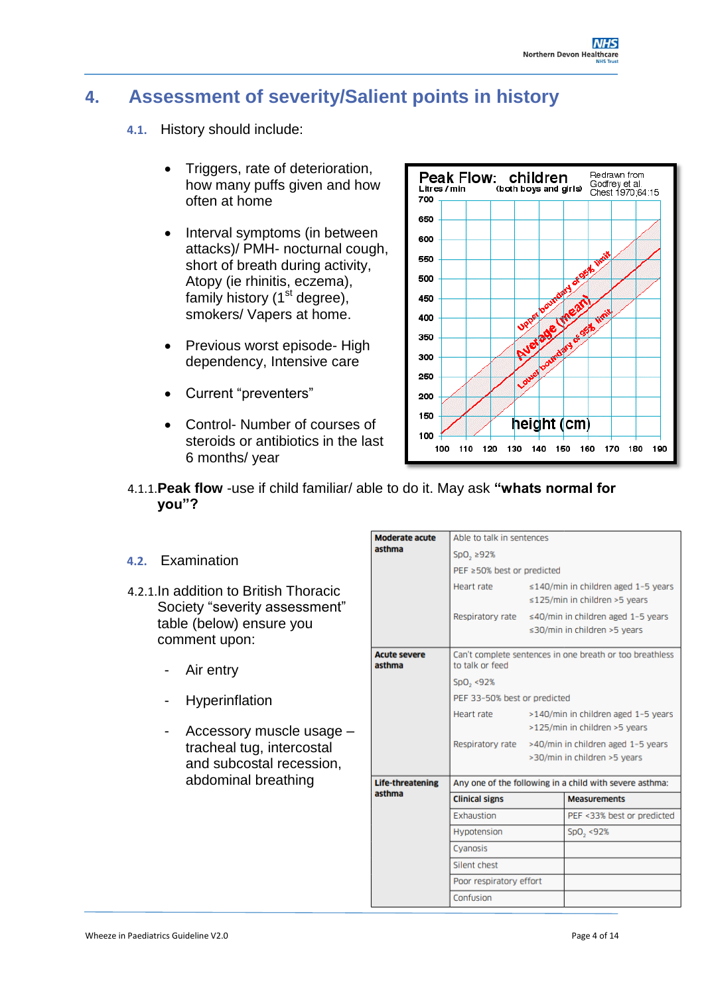## <span id="page-3-0"></span>**4. Assessment of severity/Salient points in history**

- **4.1.** History should include:
	- Triggers, rate of deterioration, how many puffs given and how often at home
	- Interval symptoms (in between attacks)/ PMH- nocturnal cough, short of breath during activity, Atopy (ie rhinitis, eczema), family history  $(1<sup>st</sup>$  degree), smokers/ Vapers at home.
	- Previous worst episode- High dependency, Intensive care
	- Current "preventers"
	- Control- Number of courses of steroids or antibiotics in the last 6 months/ year



4.1.1.**Peak flow** -use if child familiar/ able to do it. May ask **"whats normal for you"?**

#### **4.2.** Examination

- 4.2.1.In addition to British Thoracic Society "severity assessment" table (below) ensure you comment upon:
	- Air entry
	- **Hyperinflation**
	- Accessory muscle usage tracheal tug, intercostal and subcostal recession, abdominal breathing

| <b>Moderate acute</b>         | Able to talk in sentences                                                   |                                                                            |                                                                                     |  |  |
|-------------------------------|-----------------------------------------------------------------------------|----------------------------------------------------------------------------|-------------------------------------------------------------------------------------|--|--|
| asthma                        | SpO, 292%                                                                   |                                                                            |                                                                                     |  |  |
|                               | PEF ≥50% best or predicted                                                  |                                                                            |                                                                                     |  |  |
|                               | Heart rate                                                                  | $\leq$ 140/min in children aged 1-5 years<br>≤125/min in children >5 years |                                                                                     |  |  |
|                               |                                                                             |                                                                            | Respiratory rate ≤40/min in children aged 1-5 years<br>≤30/min in children >5 years |  |  |
| <b>Acute severe</b><br>asthma | Can't complete sentences in one breath or too breathless<br>to talk or feed |                                                                            |                                                                                     |  |  |
|                               | SpO <sub>2</sub> <92%                                                       |                                                                            |                                                                                     |  |  |
|                               | PEF 33-50% best or predicted                                                |                                                                            |                                                                                     |  |  |
|                               | Heart rate                                                                  |                                                                            | >140/min in children aged 1-5 years                                                 |  |  |
|                               |                                                                             |                                                                            | >125/min in children >5 years                                                       |  |  |
|                               |                                                                             |                                                                            | Respiratory rate >40/min in children aged 1-5 years                                 |  |  |
|                               |                                                                             |                                                                            | >30/min in children >5 years                                                        |  |  |
| <b>Life-threatening</b>       | Any one of the following in a child with severe asthma:                     |                                                                            |                                                                                     |  |  |
| asthma                        | <b>Clinical signs</b>                                                       |                                                                            | <b>Measurements</b>                                                                 |  |  |
|                               | Exhaustion                                                                  |                                                                            | PEF <33% best or predicted                                                          |  |  |
|                               | Hypotension                                                                 |                                                                            | SpO <sub>2</sub> <92%                                                               |  |  |
|                               | Cvanosis                                                                    |                                                                            |                                                                                     |  |  |
|                               | Silent chest                                                                |                                                                            |                                                                                     |  |  |
|                               | Poor respiratory effort                                                     |                                                                            |                                                                                     |  |  |
|                               | Confusion                                                                   |                                                                            |                                                                                     |  |  |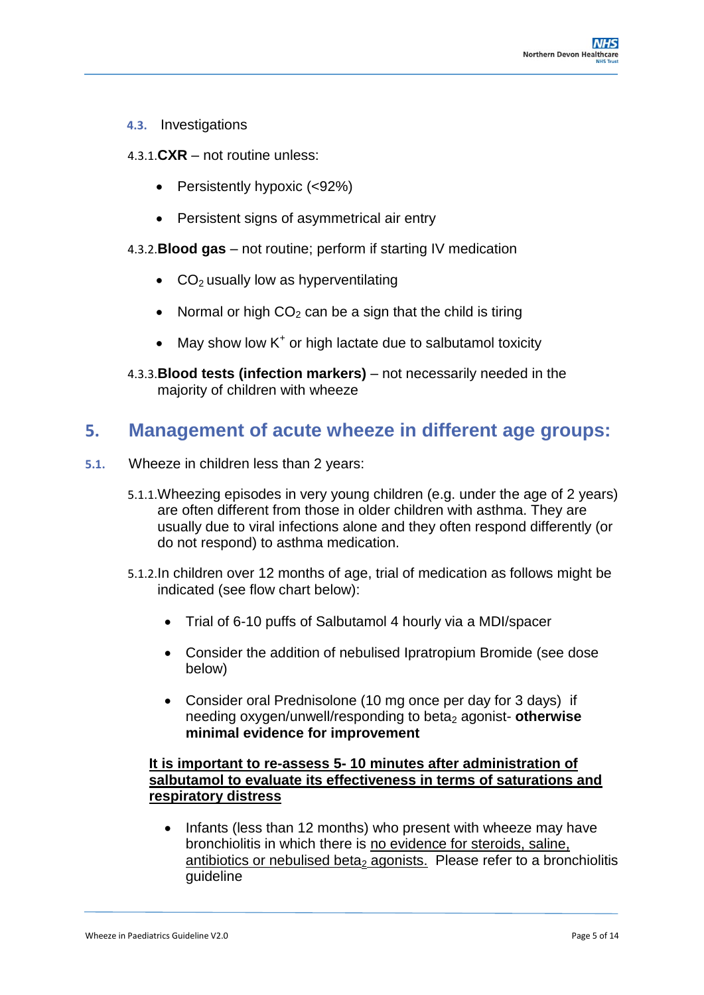- **4.3.** Investigations
- 4.3.1.**CXR** not routine unless:
	- Persistently hypoxic (<92%)
	- Persistent signs of asymmetrical air entry
- 4.3.2.**Blood gas** not routine; perform if starting IV medication
	- $\bullet$  CO<sub>2</sub> usually low as hyperventilating
	- Normal or high  $CO<sub>2</sub>$  can be a sign that the child is tiring
	- $\bullet$  May show low K<sup>+</sup> or high lactate due to salbutamol toxicity
- 4.3.3.**Blood tests (infection markers)** not necessarily needed in the majority of children with wheeze

### <span id="page-4-0"></span>**5. Management of acute wheeze in different age groups:**

- **5.1.** Wheeze in children less than 2 years:
	- 5.1.1.Wheezing episodes in very young children (e.g. under the age of 2 years) are often different from those in older children with asthma. They are usually due to viral infections alone and they often respond differently (or do not respond) to asthma medication.
	- 5.1.2.In children over 12 months of age, trial of medication as follows might be indicated (see flow chart below):
		- Trial of 6-10 puffs of Salbutamol 4 hourly via a MDI/spacer
		- Consider the addition of nebulised Ipratropium Bromide (see dose below)
		- Consider oral Prednisolone (10 mg once per day for 3 days) if needing oxygen/unwell/responding to beta<sub>2</sub> agonist- otherwise **minimal evidence for improvement**

#### **It is important to re-assess 5- 10 minutes after administration of salbutamol to evaluate its effectiveness in terms of saturations and respiratory distress**

• Infants (less than 12 months) who present with wheeze may have bronchiolitis in which there is no evidence for steroids, saline, antibiotics or nebulised beta<sub>2</sub> agonists. Please refer to a bronchiolitis guideline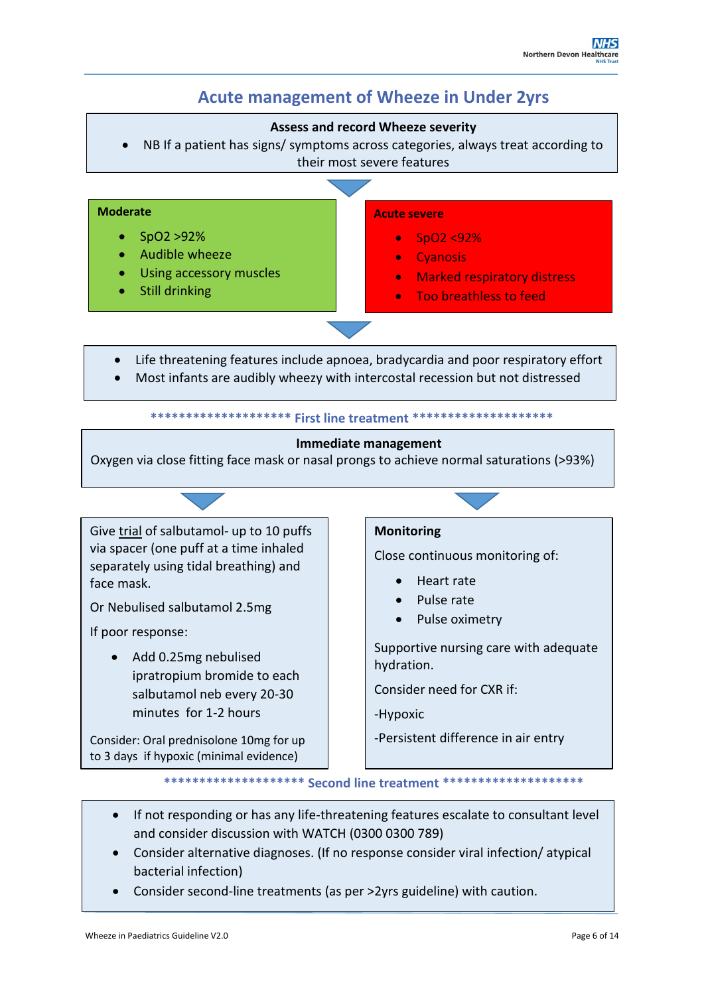## **Acute management of Wheeze in Under 2yrs**

#### **Assess and record Wheeze severity**

 NB If a patient has signs/ symptoms across categories, always treat according to their most severe features



**\*\*\*\*\*\*\*\*\*\*\*\*\*\*\*\*\*\*\*\* Second line treatment \*\*\*\*\*\*\*\*\*\*\*\*\*\*\*\*\*\*\*\***

- If not responding or has any life-threatening features escalate to consultant level and consider discussion with WATCH (0300 0300 789)
- Consider alternative diagnoses. (If no response consider viral infection/ atypical bacterial infection)
- Consider second-line treatments (as per >2yrs guideline) with caution.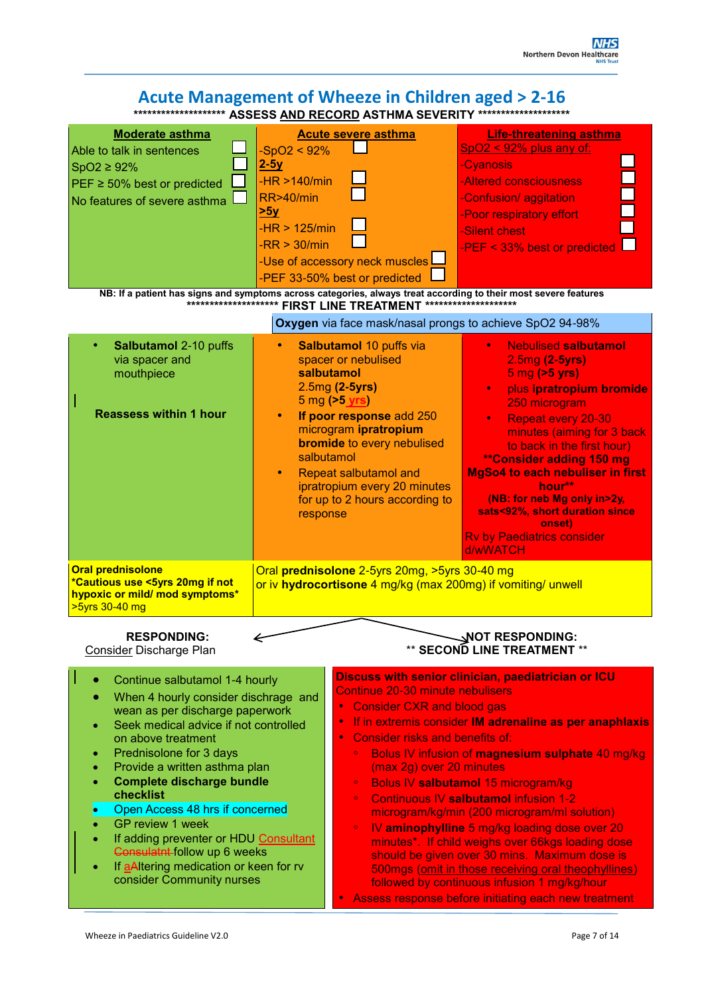#### **Acute Management of Wheeze in Children aged > 2-16 \*\*\*\*\*\*\*\*\*\*\*\*\*\*\*\*\*\*\*\* ASSESS AND RECORD ASTHMA SEVERITY \*\*\*\*\*\*\*\*\*\*\*\*\*\*\*\*\*\*\*\* NB: If a patient has signs and symptoms across categories, always treat according to their most severe features \*\*\*\*\*\*\*\*\*\*\*\*\*\*\*\*\*\*\*\* FIRST LINE TREATMENT \*\*\*\*\*\*\*\*\*\*\*\*\*\*\*\*\*\*\*\* Oxygen** via face mask/nasal prongs to achieve SpO2 94-98% • **Salbutamol** 2-10 puffs via spacer and mouthpiece **Reassess within 1 hour Salbutamol 10 puffs via** spacer or nebulised **salbutamol**  2.5mg **(2-5yrs)** 5 mg **(>5 yrs)** • **If poor response** add 250 microgram **ipratropium bromide** to every nebulised salbutamol • Repeat salbutamol and ipratropium every 20 minutes for up to 2 hours according to response • Nebulised **salbutamol**  2.5mg **(2-5yrs)** 5 mg **(>5 yrs)** • plus **ipratropium bromide** 250 microgram • Repeat every 20-30 minutes (aiming for 3 back to back in the first hour) **\*\*Consider adding 150 mg MgSo4 to each nebuliser in first hour\*\* (NB: for neb Mg only in>2y, sats<92%, short duration since onset)** Rv by Paediatrics consider d/wWATCH **Oral prednisolone \*Cautious use <5yrs 20mg if not hypoxic or mild/ mod symptoms\*** >5yrs 30-40 mg Oral **prednisolone** 2-5yrs 20mg, >5yrs 30-40 mg or iv **hydrocortisone** 4 mg/kg (max 200mg) if vomiting/ unwell RESPONDING:  $\leftarrow$  NOT RESPONDING: Consider Discharge Plan **Consider Discharge Plan Moderate asthma** Able to talk in sentences SpO2 ≥ 92% PEF ≥ 50% best or predicted No features of severe asthma **Acute severe asthma**  $-SpO2 < 92%$ **2-5y**  $-HR > 140/min$ RR>40/min **>5y** -HR > 125/min  $-RR > 30/min$ -Use of accessory neck muscles -PEF 33-50% best or predicted **Life-threatening asthma** SpO2 < 92% plus any of: -Cyanosis -Altered consciousness -Confusion/ aggitation -Poor respiratory effort -Silent chest -PEF < 33% best or predicted Continue salbutamol 1-4 hourly When 4 hourly consider dischrage and wean as per discharge paperwork Seek medical advice if not controlled on above treatment Prednisolone for 3 days Provide a written asthma plan **Complete discharge bundle checklist**  Open Access 48 hrs if concerned GP review 1 week If adding preventer or HDU Consultant Consulatnt follow up 6 weeks If aAltering medication or keen for rv consider Community nurses **Discuss with senior clinician, paediatrician or ICU** Continue 20-30 minute nebulisers • Consider CXR and blood gas • If in extremis consider **IM adrenaline as per anaphlaxis** • Consider risks and benefits of: ◦ Bolus IV infusion of **magnesium sulphate** 40 mg/kg (max 2g) over 20 minutes ◦ Bolus IV **salbutamol** 15 microgram/kg ◦ Continuous IV **salbutamol** infusion 1-2 microgram/kg/min (200 microgram/ml solution) ◦ IV **aminophylline** 5 mg/kg loading dose over 20 minutes\*. If child weighs over 66kgs loading dose should be given over 30 mins. Maximum dose is 500mgs (omit in those receiving oral theophyllines) followed by continuous infusion 1 mg/kg/hour • Assess response before initiating each new treatment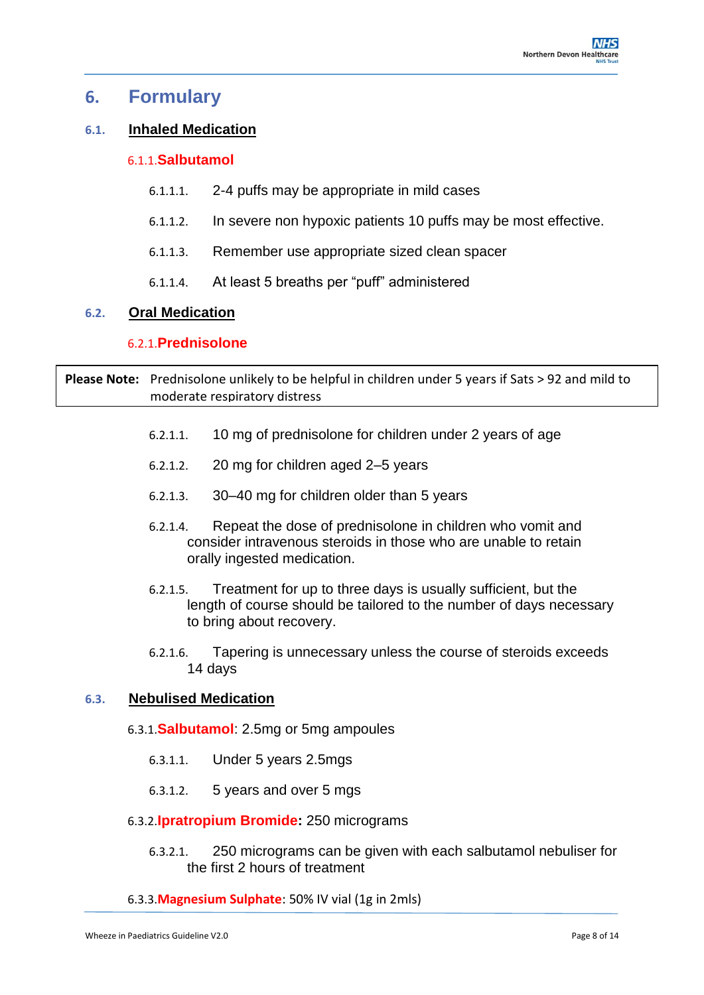### **6. Formulary**

### **6.1. Inhaled Medication**

#### 6.1.1.**Salbutamol**

- 6.1.1.1. 2-4 puffs may be appropriate in mild cases
- 6.1.1.2. In severe non hypoxic patients 10 puffs may be most effective.
- 6.1.1.3. Remember use appropriate sized clean spacer
- 6.1.1.4. At least 5 breaths per "puff" administered

#### **6.2. Oral Medication**

#### 6.2.1.**Prednisolone**

**Please Note:** Prednisolone unlikely to be helpful in children under 5 years if Sats > 92 and mild to moderate respiratory distress

- 6.2.1.1. 10 mg of prednisolone for children under 2 years of age
- 6.2.1.2. 20 mg for children aged 2–5 years
- 6.2.1.3. 30–40 mg for children older than 5 years
- 6.2.1.4. Repeat the dose of prednisolone in children who vomit and consider intravenous steroids in those who are unable to retain orally ingested medication.
- 6.2.1.5. Treatment for up to three days is usually sufficient, but the length of course should be tailored to the number of days necessary to bring about recovery.
- 6.2.1.6. Tapering is unnecessary unless the course of steroids exceeds 14 days

#### **6.3. Nebulised Medication**

- 6.3.1.**Salbutamol**: 2.5mg or 5mg ampoules
	- 6.3.1.1. Under 5 years 2.5mgs
	- 6.3.1.2. 5 years and over 5 mgs

#### 6.3.2.**Ipratropium Bromide:** 250 micrograms

6.3.2.1. 250 micrograms can be given with each salbutamol nebuliser for the first 2 hours of treatment

#### 6.3.3.**Magnesium Sulphate**: 50% IV vial (1g in 2mls)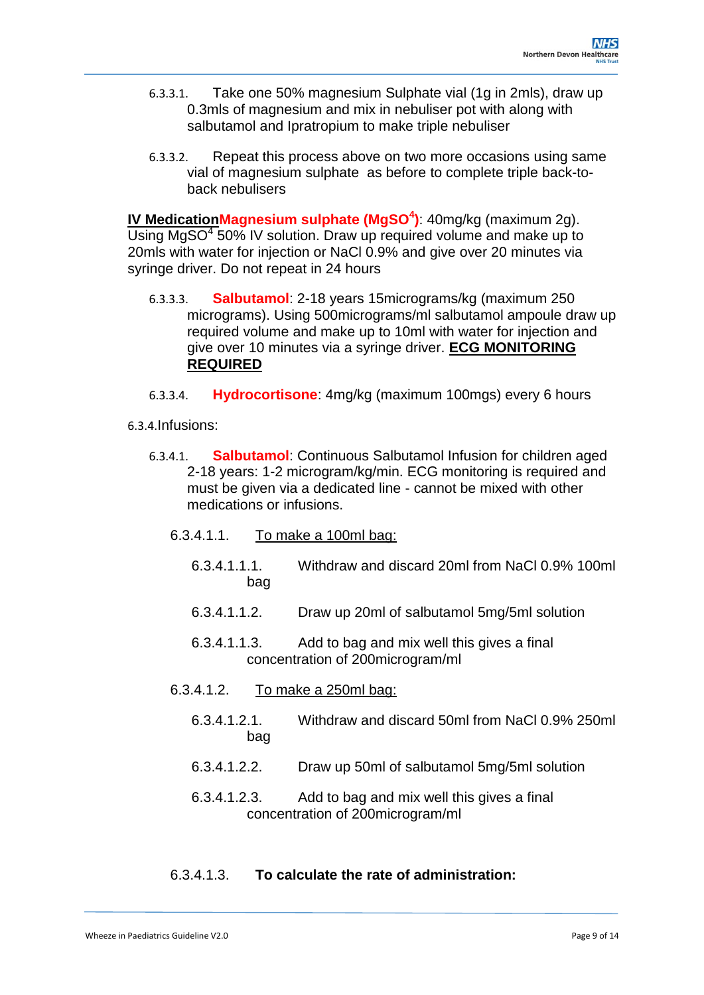- 6.3.3.1. Take one 50% magnesium Sulphate vial (1g in 2mls), draw up 0.3mls of magnesium and mix in nebuliser pot with along with salbutamol and Ipratropium to make triple nebuliser
- 6.3.3.2. Repeat this process above on two more occasions using same vial of magnesium sulphate as before to complete triple back-toback nebulisers

**IV MedicationMagnesium sulphate (MgSO<sup>4</sup> )**: 40mg/kg (maximum 2g). Using  $MgSO<sup>4</sup>$  50% IV solution. Draw up required volume and make up to 20mls with water for injection or NaCl 0.9% and give over 20 minutes via syringe driver. Do not repeat in 24 hours

- 6.3.3.3. **Salbutamol**: 2-18 years 15micrograms/kg (maximum 250 micrograms). Using 500micrograms/ml salbutamol ampoule draw up required volume and make up to 10ml with water for injection and give over 10 minutes via a syringe driver. **ECG MONITORING REQUIRED**
- 6.3.3.4. **Hydrocortisone**: 4mg/kg (maximum 100mgs) every 6 hours
- 6.3.4.Infusions:
	- 6.3.4.1. **Salbutamol**: Continuous Salbutamol Infusion for children aged 2-18 years: 1-2 microgram/kg/min. ECG monitoring is required and must be given via a dedicated line - cannot be mixed with other medications or infusions.
		- 6.3.4.1.1. To make a 100ml bag:
			- 6.3.4.1.1.1. Withdraw and discard 20ml from NaCl 0.9% 100ml bag
			- 6.3.4.1.1.2. Draw up 20ml of salbutamol 5mg/5ml solution
			- 6.3.4.1.1.3. Add to bag and mix well this gives a final concentration of 200microgram/ml
		- 6.3.4.1.2. To make a 250ml bag:
			- 6.3.4.1.2.1. Withdraw and discard 50ml from NaCl 0.9% 250ml bag
			- 6.3.4.1.2.2. Draw up 50ml of salbutamol 5mg/5ml solution
			- 6.3.4.1.2.3. Add to bag and mix well this gives a final concentration of 200microgram/ml

#### 6.3.4.1.3. **To calculate the rate of administration:**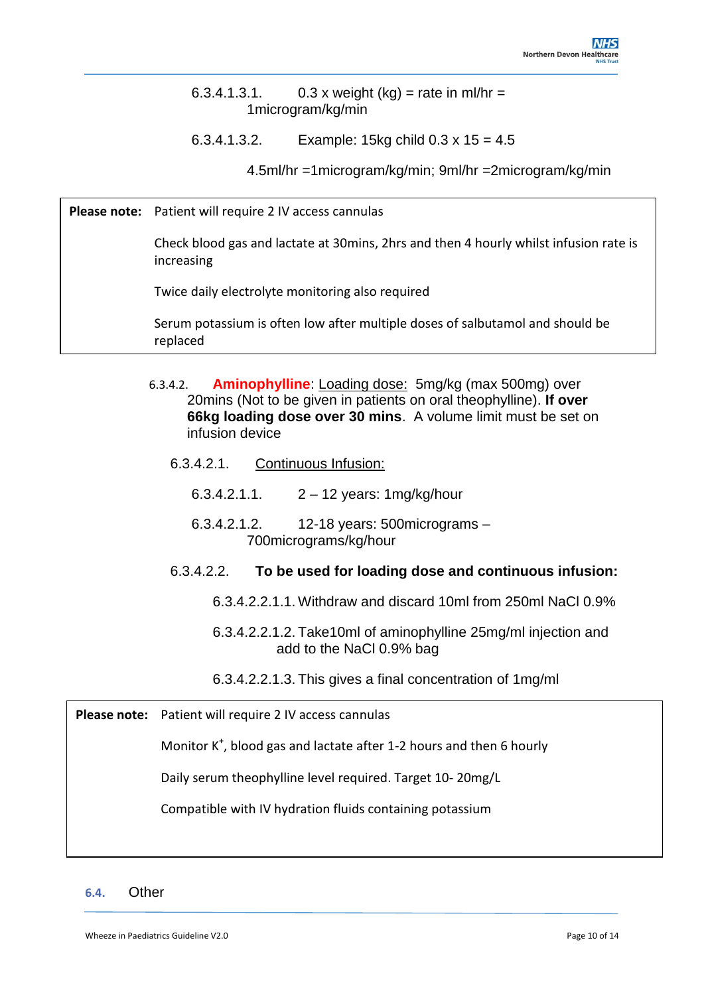6.3.4.1.3.1.  $0.3 \times$  weight (kg) = rate in ml/hr = 1microgram/kg/min

6.3.4.1.3.2. Example: 15kg child 0.3 x 15 = 4.5

4.5ml/hr =1microgram/kg/min; 9ml/hr =2microgram/kg/min

**Please note:** Patient will require 2 IV access cannulas

Check blood gas and lactate at 30mins, 2hrs and then 4 hourly whilst infusion rate is increasing

Twice daily electrolyte monitoring also required

Serum potassium is often low after multiple doses of salbutamol and should be replaced

- 6.3.4.2. **Aminophylline**: Loading dose: 5mg/kg (max 500mg) over 20mins (Not to be given in patients on oral theophylline). **If over 66kg loading dose over 30 mins**. A volume limit must be set on infusion device
	- 6.3.4.2.1. Continuous Infusion:
		- 6.3.4.2.1.1.  $2 12$  years: 1mg/kg/hour
		- 6.3.4.2.1.2. 12-18 years: 500micrograms 700micrograms/kg/hour

#### 6.3.4.2.2. **To be used for loading dose and continuous infusion:**

- 6.3.4.2.2.1.1. Withdraw and discard 10ml from 250ml NaCl 0.9%
- 6.3.4.2.2.1.2. Take10ml of aminophylline 25mg/ml injection and add to the NaCl 0.9% bag
- 6.3.4.2.2.1.3. This gives a final concentration of 1mg/ml

**Please note:** Patient will require 2 IV access cannulas

Monitor K<sup>+</sup>, blood gas and lactate after 1-2 hours and then 6 hourly

Daily serum theophylline level required. Target 10- 20mg/L

Compatible with IV hydration fluids containing potassium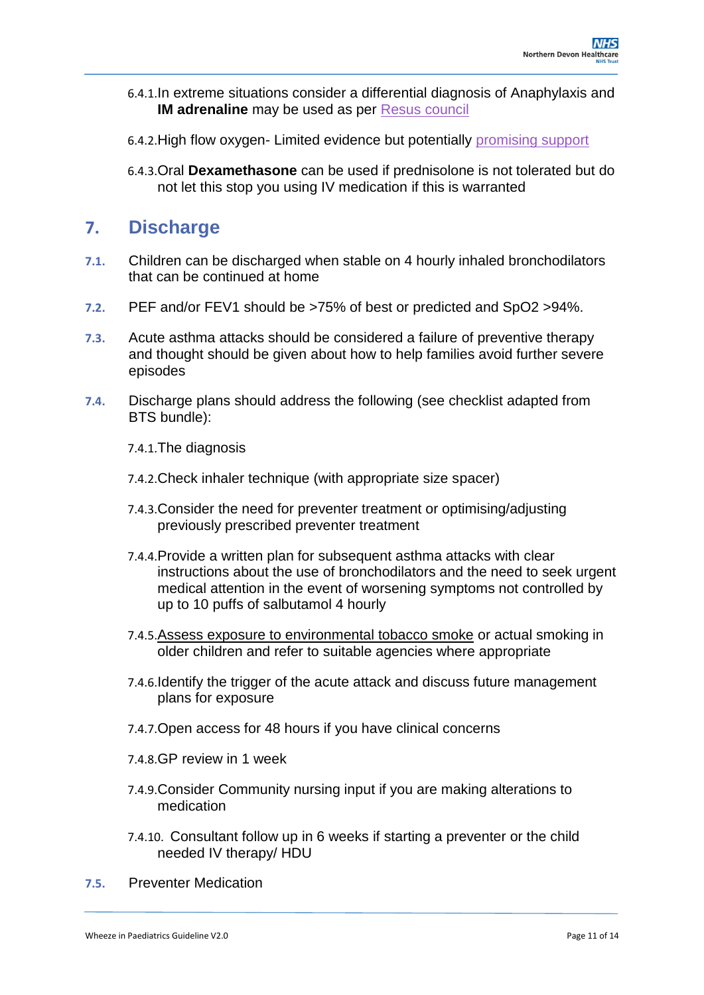- 6.4.1.In extreme situations consider a differential diagnosis of Anaphylaxis and **IM adrenaline** may be used as per [Resus council](https://www.resus.org.uk/sites/default/files/2020-06/G2010Poster_Anaphylaxis.pdf)
- 6.4.2.High flow oxygen- Limited evidence but potentially [promising support](https://erj.ersjournals.com/content/54/suppl_63/PA1228)
- 6.4.3.Oral **Dexamethasone** can be used if prednisolone is not tolerated but do not let this stop you using IV medication if this is warranted

## **7. Discharge**

- **7.1.** Children can be discharged when stable on 4 hourly inhaled bronchodilators that can be continued at home
- **7.2.** PEF and/or FEV1 should be >75% of best or predicted and SpO2 >94%.
- **7.3.** Acute asthma attacks should be considered a failure of preventive therapy and thought should be given about how to help families avoid further severe episodes
- **7.4.** Discharge plans should address the following (see checklist adapted from BTS bundle):

7.4.1.The diagnosis

- 7.4.2.Check inhaler technique (with appropriate size spacer)
- 7.4.3.Consider the need for preventer treatment or optimising/adjusting previously prescribed preventer treatment
- 7.4.4.Provide a written plan for subsequent asthma attacks with clear instructions about the use of bronchodilators and the need to seek urgent medical attention in the event of worsening symptoms not controlled by up to 10 puffs of salbutamol 4 hourly
- 7.4.5.Assess exposure to environmental tobacco smoke or actual smoking in older children and refer to suitable agencies where appropriate
- 7.4.6.Identify the trigger of the acute attack and discuss future management plans for exposure
- 7.4.7.Open access for 48 hours if you have clinical concerns
- 7.4.8.GP review in 1 week
- 7.4.9.Consider Community nursing input if you are making alterations to medication
- 7.4.10. Consultant follow up in 6 weeks if starting a preventer or the child needed IV therapy/ HDU
- **7.5.** Preventer Medication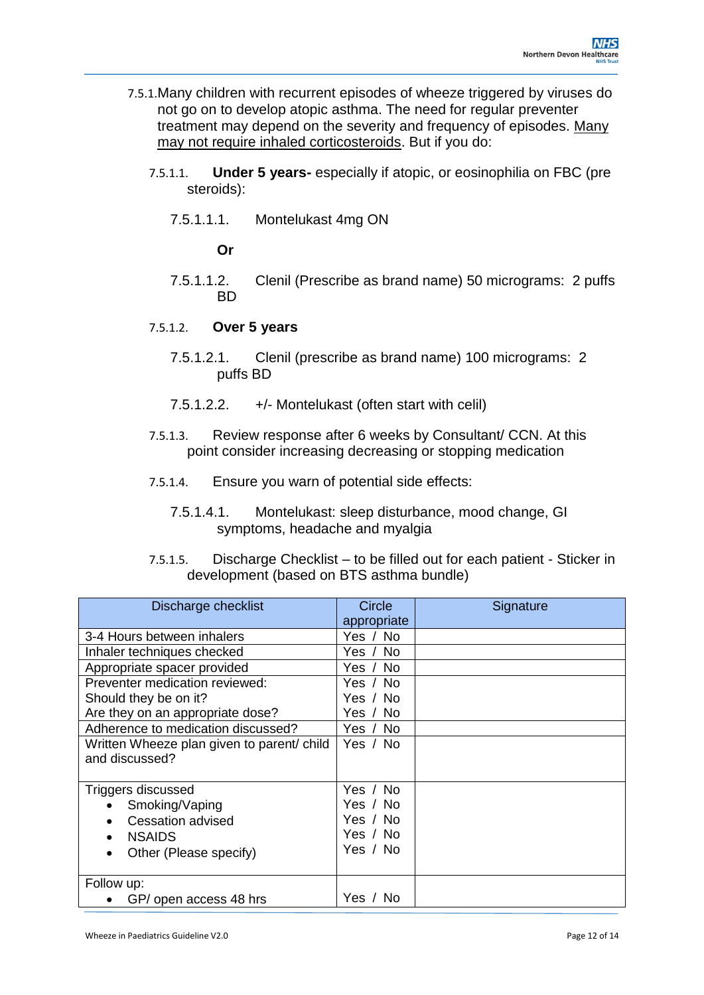- 7.5.1.Many children with recurrent episodes of wheeze triggered by viruses do not go on to develop atopic asthma. The need for regular preventer treatment may depend on the severity and frequency of episodes. Many may not require inhaled corticosteroids. But if you do:
	- 7.5.1.1. **Under 5 years-** especially if atopic, or eosinophilia on FBC (pre steroids):
		- 7.5.1.1.1. Montelukast 4mg ON

**Or**

- 7.5.1.1.2. Clenil (Prescribe as brand name) 50 micrograms: 2 puffs BD
- 7.5.1.2. **Over 5 years**
	- 7.5.1.2.1. Clenil (prescribe as brand name) 100 micrograms: 2 puffs BD
	- 7.5.1.2.2. +/- Montelukast (often start with celil)
- 7.5.1.3. Review response after 6 weeks by Consultant/ CCN. At this point consider increasing decreasing or stopping medication
- 7.5.1.4. Ensure you warn of potential side effects:
	- 7.5.1.4.1. Montelukast: sleep disturbance, mood change, GI symptoms, headache and myalgia
- 7.5.1.5. Discharge Checklist to be filled out for each patient Sticker in development (based on BTS asthma bundle)

| Discharge checklist                        | Circle<br>appropriate | Signature |
|--------------------------------------------|-----------------------|-----------|
| 3-4 Hours between inhalers                 | Yes / No              |           |
| Inhaler techniques checked                 | Yes / No              |           |
| Appropriate spacer provided                | Yes / No              |           |
| Preventer medication reviewed:             | Yes / No              |           |
| Should they be on it?                      | Yes / No              |           |
| Are they on an appropriate dose?           | Yes / No              |           |
| Adherence to medication discussed?         | Yes / No              |           |
| Written Wheeze plan given to parent/ child | Yes / No              |           |
| and discussed?                             |                       |           |
| Triggers discussed                         | Yes / No              |           |
| Smoking/Vaping                             | Yes / No              |           |
| <b>Cessation advised</b>                   | Yes / No              |           |
| <b>NSAIDS</b>                              | Yes / No              |           |
| Other (Please specify)                     | Yes / No              |           |
| Follow up:                                 |                       |           |
| GP/ open access 48 hrs                     | Yes / No              |           |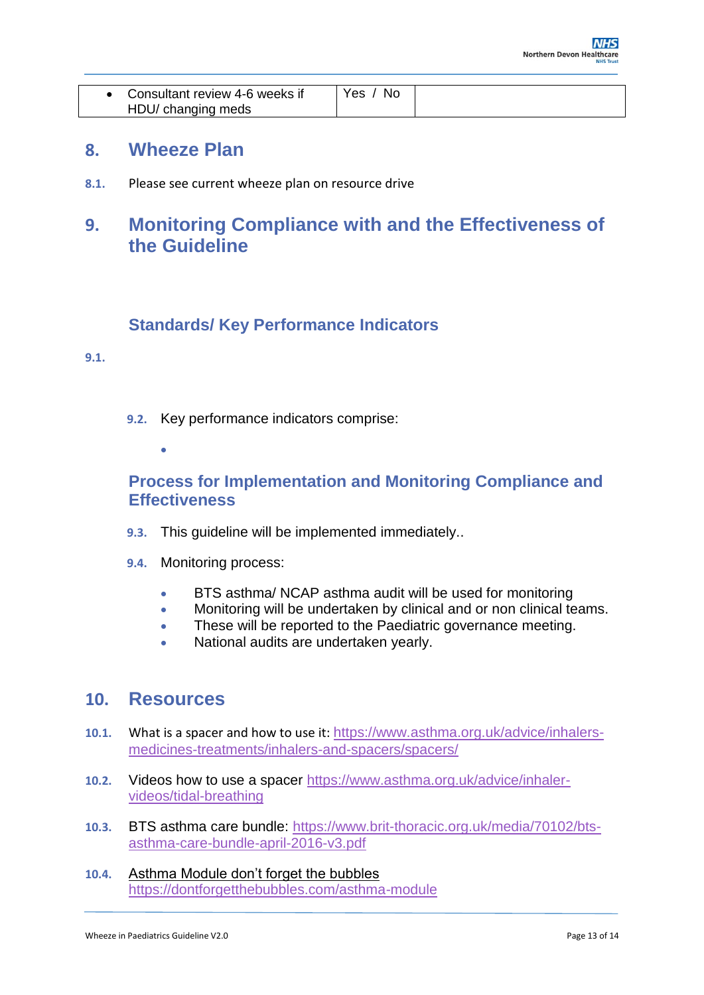| • Consultant review 4-6 weeks if | -No<br>Yes |  |
|----------------------------------|------------|--|
| HDU/ changing meds               |            |  |

### **8. Wheeze Plan**

**8.1.** Please see current wheeze plan on resource drive

## **9. Monitoring Compliance with and the Effectiveness of the Guideline**

### **Standards/ Key Performance Indicators**

#### <span id="page-12-0"></span>**9.1.**

- **9.2.** Key performance indicators comprise:
	- $\bullet$

### <span id="page-12-1"></span>**Process for Implementation and Monitoring Compliance and Effectiveness**

- **9.3.** This guideline will be implemented immediately..
- **9.4.** Monitoring process:
	- BTS asthma/ NCAP asthma audit will be used for monitoring
	- Monitoring will be undertaken by clinical and or non clinical teams.
	- These will be reported to the Paediatric governance meeting.
	- National audits are undertaken yearly.

### <span id="page-12-2"></span>**10. Resources**

- **10.1.** What is a spacer and how to use it: [https://www.asthma.org.uk/advice/inhalers](https://www.asthma.org.uk/advice/inhalers-medicines-treatments/inhalers-and-spacers/spacers/)[medicines-treatments/inhalers-and-spacers/spacers/](https://www.asthma.org.uk/advice/inhalers-medicines-treatments/inhalers-and-spacers/spacers/)
- **10.2.** Videos how to use a spacer [https://www.asthma.org.uk/advice/inhaler](https://www.asthma.org.uk/advice/inhaler-videos/tidal-breathing)[videos/tidal-breathing](https://www.asthma.org.uk/advice/inhaler-videos/tidal-breathing)
- **10.3.** BTS asthma care bundle: [https://www.brit-thoracic.org.uk/media/70102/bts](https://www.brit-thoracic.org.uk/media/70102/bts-asthma-care-bundle-april-2016-v3.pdf)[asthma-care-bundle-april-2016-v3.pdf](https://www.brit-thoracic.org.uk/media/70102/bts-asthma-care-bundle-april-2016-v3.pdf)
- **10.4.** Asthma Module don't forget the bubbles <https://dontforgetthebubbles.com/asthma-module>